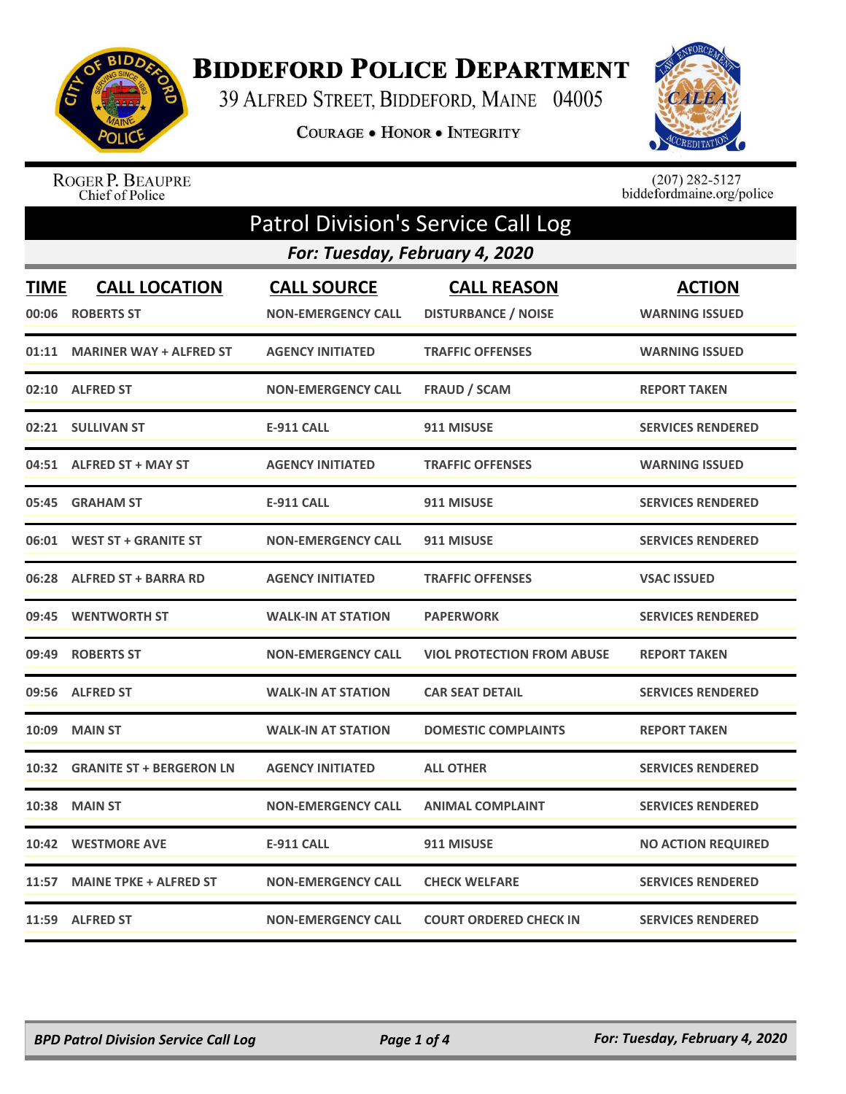

## **BIDDEFORD POLICE DEPARTMENT**

39 ALFRED STREET, BIDDEFORD, MAINE 04005

COURAGE . HONOR . INTEGRITY



ROGER P. BEAUPRE<br>Chief of Police

 $(207)$  282-5127<br>biddefordmaine.org/police

|                                | Patrol Division's Service Call Log |                           |                                   |                           |  |
|--------------------------------|------------------------------------|---------------------------|-----------------------------------|---------------------------|--|
| For: Tuesday, February 4, 2020 |                                    |                           |                                   |                           |  |
| <b>TIME</b>                    | <b>CALL LOCATION</b>               | <b>CALL SOURCE</b>        | <b>CALL REASON</b>                | <b>ACTION</b>             |  |
| 00:06                          | <b>ROBERTS ST</b>                  | <b>NON-EMERGENCY CALL</b> | <b>DISTURBANCE / NOISE</b>        | <b>WARNING ISSUED</b>     |  |
| 01:11                          | <b>MARINER WAY + ALFRED ST</b>     | <b>AGENCY INITIATED</b>   | <b>TRAFFIC OFFENSES</b>           | <b>WARNING ISSUED</b>     |  |
|                                | 02:10 ALFRED ST                    | <b>NON-EMERGENCY CALL</b> | <b>FRAUD / SCAM</b>               | <b>REPORT TAKEN</b>       |  |
|                                | 02:21 SULLIVAN ST                  | <b>E-911 CALL</b>         | 911 MISUSE                        | <b>SERVICES RENDERED</b>  |  |
| 04:51                          | <b>ALFRED ST + MAY ST</b>          | <b>AGENCY INITIATED</b>   | <b>TRAFFIC OFFENSES</b>           | <b>WARNING ISSUED</b>     |  |
| 05:45                          | <b>GRAHAM ST</b>                   | <b>E-911 CALL</b>         | 911 MISUSE                        | <b>SERVICES RENDERED</b>  |  |
| 06:01                          | <b>WEST ST + GRANITE ST</b>        | <b>NON-EMERGENCY CALL</b> | 911 MISUSE                        | <b>SERVICES RENDERED</b>  |  |
| 06:28                          | <b>ALFRED ST + BARRA RD</b>        | <b>AGENCY INITIATED</b>   | <b>TRAFFIC OFFENSES</b>           | <b>VSAC ISSUED</b>        |  |
| 09:45                          | <b>WENTWORTH ST</b>                | <b>WALK-IN AT STATION</b> | <b>PAPERWORK</b>                  | <b>SERVICES RENDERED</b>  |  |
| 09:49                          | <b>ROBERTS ST</b>                  | <b>NON-EMERGENCY CALL</b> | <b>VIOL PROTECTION FROM ABUSE</b> | <b>REPORT TAKEN</b>       |  |
| 09:56                          | <b>ALFRED ST</b>                   | <b>WALK-IN AT STATION</b> | <b>CAR SEAT DETAIL</b>            | <b>SERVICES RENDERED</b>  |  |
| 10:09                          | <b>MAIN ST</b>                     | <b>WALK-IN AT STATION</b> | <b>DOMESTIC COMPLAINTS</b>        | <b>REPORT TAKEN</b>       |  |
| 10:32                          | <b>GRANITE ST + BERGERON LN</b>    | <b>AGENCY INITIATED</b>   | <b>ALL OTHER</b>                  | <b>SERVICES RENDERED</b>  |  |
| 10:38                          | <b>MAIN ST</b>                     | <b>NON-EMERGENCY CALL</b> | <b>ANIMAL COMPLAINT</b>           | <b>SERVICES RENDERED</b>  |  |
| 10:42                          | <b>WESTMORE AVE</b>                | <b>E-911 CALL</b>         | 911 MISUSE                        | <b>NO ACTION REQUIRED</b> |  |
| 11:57                          | <b>MAINE TPKE + ALFRED ST</b>      | <b>NON-EMERGENCY CALL</b> | <b>CHECK WELFARE</b>              | <b>SERVICES RENDERED</b>  |  |
|                                | 11:59 ALFRED ST                    | <b>NON-EMERGENCY CALL</b> | <b>COURT ORDERED CHECK IN</b>     | <b>SERVICES RENDERED</b>  |  |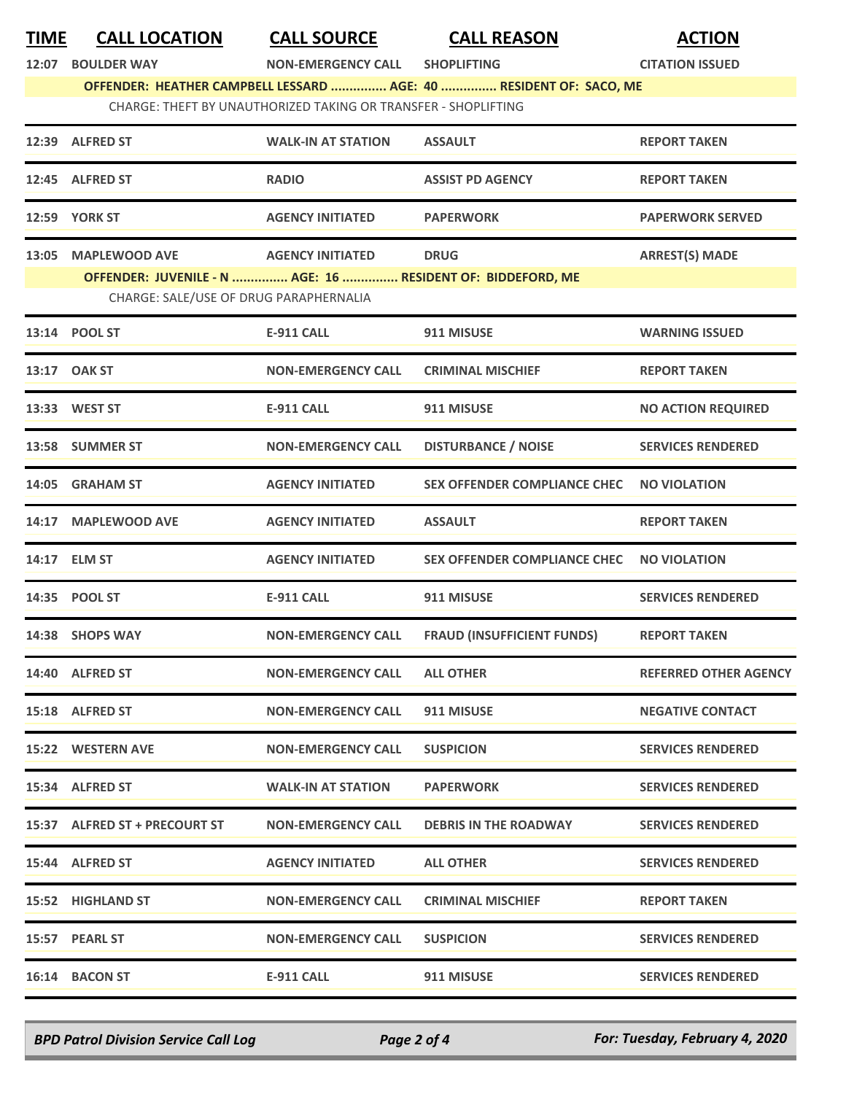| <b>TIME</b> | <b>CALL LOCATION</b>                                        | <b>CALL SOURCE</b>                                             | <b>CALL REASON</b>                                                 | <b>ACTION</b>                |
|-------------|-------------------------------------------------------------|----------------------------------------------------------------|--------------------------------------------------------------------|------------------------------|
| 12:07       | <b>BOULDER WAY</b>                                          | <b>NON-EMERGENCY CALL</b>                                      | <b>SHOPLIFTING</b>                                                 | <b>CITATION ISSUED</b>       |
|             |                                                             |                                                                | OFFENDER: HEATHER CAMPBELL LESSARD  AGE: 40  RESIDENT OF: SACO, ME |                              |
|             |                                                             | CHARGE: THEFT BY UNAUTHORIZED TAKING OR TRANSFER - SHOPLIFTING |                                                                    |                              |
|             | 12:39 ALFRED ST                                             | <b>WALK-IN AT STATION</b>                                      | <b>ASSAULT</b>                                                     | <b>REPORT TAKEN</b>          |
|             | 12:45 ALFRED ST                                             | <b>RADIO</b>                                                   | <b>ASSIST PD AGENCY</b>                                            | <b>REPORT TAKEN</b>          |
|             | <b>12:59 YORK ST</b>                                        | <b>AGENCY INITIATED</b>                                        | <b>PAPERWORK</b>                                                   | <b>PAPERWORK SERVED</b>      |
|             | 13:05 MAPLEWOOD AVE                                         | <b>AGENCY INITIATED</b>                                        | <b>DRUG</b>                                                        | <b>ARREST(S) MADE</b>        |
|             | OFFENDER: JUVENILE - N  AGE: 16  RESIDENT OF: BIDDEFORD, ME |                                                                |                                                                    |                              |
|             | CHARGE: SALE/USE OF DRUG PARAPHERNALIA                      |                                                                |                                                                    |                              |
|             | 13:14 POOL ST                                               | <b>E-911 CALL</b>                                              | 911 MISUSE                                                         | <b>WARNING ISSUED</b>        |
|             | 13:17 OAK ST                                                | <b>NON-EMERGENCY CALL</b>                                      | <b>CRIMINAL MISCHIEF</b>                                           | <b>REPORT TAKEN</b>          |
|             | 13:33 WEST ST                                               | <b>E-911 CALL</b>                                              | 911 MISUSE                                                         | <b>NO ACTION REQUIRED</b>    |
|             | 13:58 SUMMER ST                                             | <b>NON-EMERGENCY CALL</b>                                      | <b>DISTURBANCE / NOISE</b>                                         | <b>SERVICES RENDERED</b>     |
|             | 14:05 GRAHAM ST                                             | <b>AGENCY INITIATED</b>                                        | <b>SEX OFFENDER COMPLIANCE CHEC</b>                                | <b>NO VIOLATION</b>          |
|             | 14:17 MAPLEWOOD AVE                                         | <b>AGENCY INITIATED</b>                                        | <b>ASSAULT</b>                                                     | <b>REPORT TAKEN</b>          |
| 14:17       | <b>ELM ST</b>                                               | <b>AGENCY INITIATED</b>                                        | <b>SEX OFFENDER COMPLIANCE CHEC</b>                                | <b>NO VIOLATION</b>          |
|             | 14:35 POOL ST                                               | <b>E-911 CALL</b>                                              | 911 MISUSE                                                         | <b>SERVICES RENDERED</b>     |
|             | 14:38 SHOPS WAY                                             | <b>NON-EMERGENCY CALL</b>                                      | <b>FRAUD (INSUFFICIENT FUNDS)</b>                                  | <b>REPORT TAKEN</b>          |
|             | 14:40 ALFRED ST                                             | <b>NON-EMERGENCY CALL</b>                                      | <b>ALL OTHER</b>                                                   | <b>REFERRED OTHER AGENCY</b> |
|             | 15:18 ALFRED ST                                             | <b>NON-EMERGENCY CALL</b>                                      | 911 MISUSE                                                         | <b>NEGATIVE CONTACT</b>      |
|             | 15:22 WESTERN AVE                                           | <b>NON-EMERGENCY CALL</b>                                      | <b>SUSPICION</b>                                                   | <b>SERVICES RENDERED</b>     |
|             | 15:34 ALFRED ST                                             | <b>WALK-IN AT STATION</b>                                      | <b>PAPERWORK</b>                                                   | <b>SERVICES RENDERED</b>     |
|             | 15:37 ALFRED ST + PRECOURT ST                               | <b>NON-EMERGENCY CALL</b>                                      | <b>DEBRIS IN THE ROADWAY</b>                                       | <b>SERVICES RENDERED</b>     |
|             | 15:44 ALFRED ST                                             | <b>AGENCY INITIATED</b>                                        | <b>ALL OTHER</b>                                                   | <b>SERVICES RENDERED</b>     |
|             | 15:52 HIGHLAND ST                                           | <b>NON-EMERGENCY CALL</b>                                      | <b>CRIMINAL MISCHIEF</b>                                           | <b>REPORT TAKEN</b>          |
|             | 15:57 PEARL ST                                              | <b>NON-EMERGENCY CALL</b>                                      | <b>SUSPICION</b>                                                   | <b>SERVICES RENDERED</b>     |
|             | 16:14 BACON ST                                              | E-911 CALL                                                     | 911 MISUSE                                                         | <b>SERVICES RENDERED</b>     |

*BPD Patrol Division Service Call Log Page 2 of 4 For: Tuesday, February 4, 2020*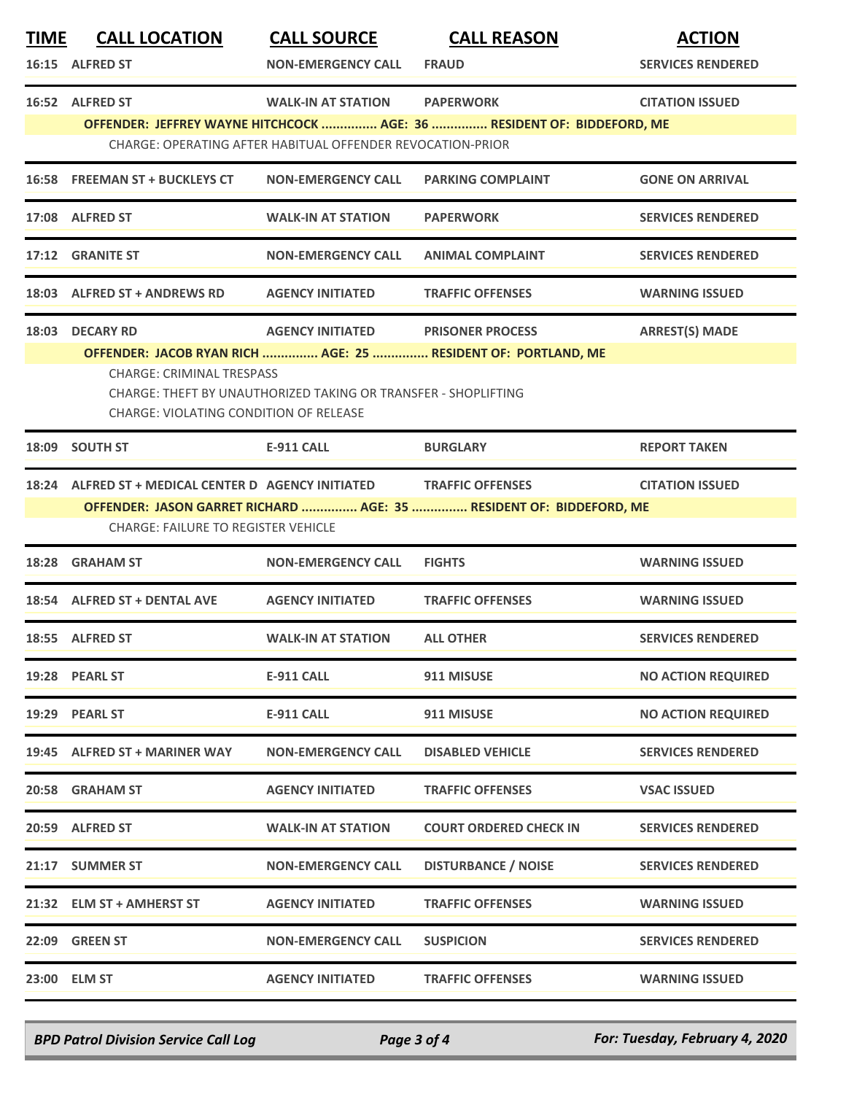| <u>TIME</u> | <b>CALL LOCATION</b>                                                 | <b>CALL SOURCE</b>                                             | <b>CALL REASON</b>                                                                         | <b>ACTION</b>             |
|-------------|----------------------------------------------------------------------|----------------------------------------------------------------|--------------------------------------------------------------------------------------------|---------------------------|
|             | 16:15 ALFRED ST                                                      | <b>NON-EMERGENCY CALL</b>                                      | <b>FRAUD</b>                                                                               | <b>SERVICES RENDERED</b>  |
|             | 16:52 ALFRED ST                                                      | <b>WALK-IN AT STATION</b>                                      | <b>PAPERWORK</b><br>OFFENDER: JEFFREY WAYNE HITCHCOCK  AGE: 36  RESIDENT OF: BIDDEFORD, ME | <b>CITATION ISSUED</b>    |
|             |                                                                      | CHARGE: OPERATING AFTER HABITUAL OFFENDER REVOCATION-PRIOR     |                                                                                            |                           |
|             | 16:58 FREEMAN ST + BUCKLEYS CT                                       | <b>NON-EMERGENCY CALL</b>                                      | <b>PARKING COMPLAINT</b>                                                                   | <b>GONE ON ARRIVAL</b>    |
|             | 17:08 ALFRED ST                                                      | <b>WALK-IN AT STATION</b>                                      | <b>PAPERWORK</b>                                                                           | <b>SERVICES RENDERED</b>  |
|             | 17:12 GRANITE ST                                                     | <b>NON-EMERGENCY CALL</b>                                      | <b>ANIMAL COMPLAINT</b>                                                                    | <b>SERVICES RENDERED</b>  |
|             | 18:03 ALFRED ST + ANDREWS RD                                         | <b>AGENCY INITIATED</b>                                        | <b>TRAFFIC OFFENSES</b>                                                                    | <b>WARNING ISSUED</b>     |
| 18:03       | <b>DECARY RD</b>                                                     | <b>AGENCY INITIATED</b>                                        | <b>PRISONER PROCESS</b><br>OFFENDER: JACOB RYAN RICH  AGE: 25  RESIDENT OF: PORTLAND, ME   | <b>ARREST(S) MADE</b>     |
|             | <b>CHARGE: CRIMINAL TRESPASS</b>                                     | CHARGE: THEFT BY UNAUTHORIZED TAKING OR TRANSFER - SHOPLIFTING |                                                                                            |                           |
|             | <b>CHARGE: VIOLATING CONDITION OF RELEASE</b>                        |                                                                |                                                                                            |                           |
|             | 18:09 SOUTH ST                                                       | <b>E-911 CALL</b>                                              | <b>BURGLARY</b>                                                                            | <b>REPORT TAKEN</b>       |
|             | 18:24 ALFRED ST + MEDICAL CENTER D AGENCY INITIATED TRAFFIC OFFENSES |                                                                | OFFENDER: JASON GARRET RICHARD  AGE: 35  RESIDENT OF: BIDDEFORD, ME                        | <b>CITATION ISSUED</b>    |
|             | <b>CHARGE: FAILURE TO REGISTER VEHICLE</b>                           |                                                                |                                                                                            |                           |
| 18:28       | <b>GRAHAM ST</b>                                                     | <b>NON-EMERGENCY CALL</b>                                      | <b>FIGHTS</b>                                                                              | <b>WARNING ISSUED</b>     |
|             | 18:54 ALFRED ST + DENTAL AVE                                         | <b>AGENCY INITIATED</b>                                        | <b>TRAFFIC OFFENSES</b>                                                                    | <b>WARNING ISSUED</b>     |
|             | 18:55 ALFRED ST                                                      | <b>WALK-IN AT STATION</b>                                      | <b>ALL OTHER</b>                                                                           | <b>SERVICES RENDERED</b>  |
|             | 19:28 PEARL ST                                                       | <b>E-911 CALL</b>                                              | 911 MISUSE                                                                                 | <b>NO ACTION REQUIRED</b> |
|             | 19:29 PEARL ST                                                       | <b>E-911 CALL</b>                                              | 911 MISUSE                                                                                 | <b>NO ACTION REQUIRED</b> |
|             | 19:45 ALFRED ST + MARINER WAY                                        | <b>NON-EMERGENCY CALL</b>                                      | <b>DISABLED VEHICLE</b>                                                                    | <b>SERVICES RENDERED</b>  |
|             | 20:58 GRAHAM ST                                                      | <b>AGENCY INITIATED</b>                                        | <b>TRAFFIC OFFENSES</b>                                                                    | <b>VSAC ISSUED</b>        |
|             | 20:59 ALFRED ST                                                      | <b>WALK-IN AT STATION</b>                                      | <b>COURT ORDERED CHECK IN</b>                                                              | <b>SERVICES RENDERED</b>  |
|             | 21:17 SUMMER ST                                                      | <b>NON-EMERGENCY CALL</b>                                      | <b>DISTURBANCE / NOISE</b>                                                                 | <b>SERVICES RENDERED</b>  |
|             | 21:32 ELM ST + AMHERST ST                                            | <b>AGENCY INITIATED</b>                                        | <b>TRAFFIC OFFENSES</b>                                                                    | <b>WARNING ISSUED</b>     |
|             | 22:09 GREEN ST                                                       | <b>NON-EMERGENCY CALL</b>                                      | <b>SUSPICION</b>                                                                           | <b>SERVICES RENDERED</b>  |
|             | 23:00 ELM ST                                                         | <b>AGENCY INITIATED</b>                                        | <b>TRAFFIC OFFENSES</b>                                                                    | <b>WARNING ISSUED</b>     |

*BPD Patrol Division Service Call Log Page 3 of 4 For: Tuesday, February 4, 2020*